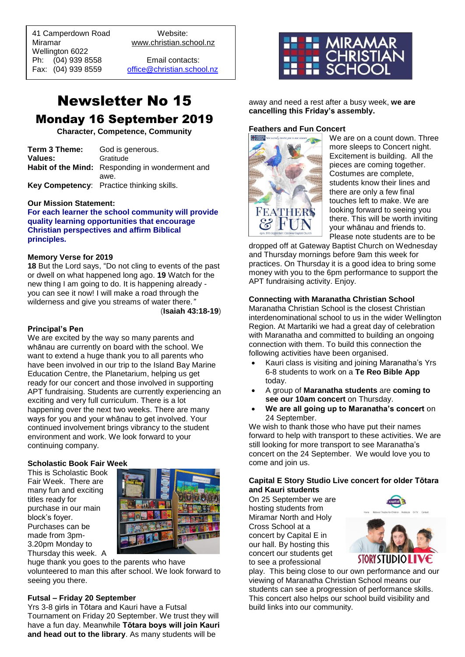41 Camperdown Road Website: Miramar www.christian.school.nz Wellington 6022 Ph: (04) 939 8558 Email contacts:

 $\overline{a}$ 

Fax: (04) 939 8559 [office@christian.school.nz](mailto:office@christian.school.nz)

# Newsletter No 15 Monday 16 September 2019

**Character, Competence, Community**

| Term 3 Theme: | God is generous.                                |
|---------------|-------------------------------------------------|
| Values:       | Gratitude                                       |
|               | Habit of the Mind: Responding in wonderment and |
|               | awe.                                            |
|               | Key Competency: Practice thinking skills.       |

#### **Our Mission Statement:**

**For each learner the school community will provide quality learning opportunities that encourage Christian perspectives and affirm Biblical principles***.*

#### **Memory Verse for 2019**

**18** But the Lord says, "Do not cling to events of the past or dwell on what happened long ago. **19** Watch for the new thing I am going to do. It is happening already you can see it now! I will make a road through the wilderness and give you streams of water there*."* (**Isaiah 43:18-19**)

#### **Principal's Pen**

We are excited by the way so many parents and whānau are currently on board with the school. We want to extend a huge thank you to all parents who have been involved in our trip to the Island Bay Marine Education Centre, the Planetarium, helping us get ready for our concert and those involved in supporting APT fundraising. Students are currently experiencing an exciting and very full curriculum. There is a lot happening over the next two weeks. There are many ways for you and your whānau to get involved. Your continued involvement brings vibrancy to the student environment and work. We look forward to your continuing company.

## **Scholastic Book Fair Week**

This is Scholastic Book Fair Week. There are many fun and exciting titles ready for purchase in our main block's foyer. Purchases can be made from 3pm-3.20pm Monday to Thursday this week. A



huge thank you goes to the parents who have volunteered to man this after school. We look forward to seeing you there.

## **Futsal – Friday 20 September**

Yrs 3-8 girls in Tōtara and Kauri have a Futsal Tournament on Friday 20 September. We trust they will have a fun day. Meanwhile **Tōtara boys will join Kauri and head out to the library**. As many students will be



away and need a rest after a busy week, **we are cancelling this Friday's assembly.**

## **Feathers and Fun Concert**



We are on a count down. Three more sleeps to Concert night. Excitement is building. All the pieces are coming together. Costumes are complete, students know their lines and there are only a few final touches left to make. We are looking forward to seeing you there. This will be worth inviting your whānau and friends to. Please note students are to be

dropped off at Gateway Baptist Church on Wednesday and Thursday mornings before 9am this week for practices. On Thursday it is a good idea to bring some money with you to the 6pm performance to support the APT fundraising activity. Enjoy.

#### **Connecting with Maranatha Christian School**

Maranatha Christian School is the closest Christian interdenominational school to us in the wider Wellington Region. At Martariki we had a great day of celebration with Maranatha and committed to building an ongoing connection with them. To build this connection the following activities have been organised.

- Kauri class is visiting and joining Maranatha's Yrs 6-8 students to work on a **Te Reo Bible App** today.
- A group of **Maranatha students** are **coming to see our 10am concert** on Thursday.
- **We are all going up to Maranatha's concert** on 24 September.

We wish to thank those who have put their names forward to help with transport to these activities. We are still looking for more transport to see Maranatha's concert on the 24 September. We would love you to come and join us.

#### **Capital E Story Studio Live concert for older Tōtara and Kauri students**

On 25 September we are hosting students from Miramar North and Holy Cross School at a concert by Capital E in our hall. By hosting this concert our students get to see a professional



play. This being close to our own performance and our viewing of Maranatha Christian School means our students can see a progression of performance skills. This concert also helps our school build visibility and build links into our community.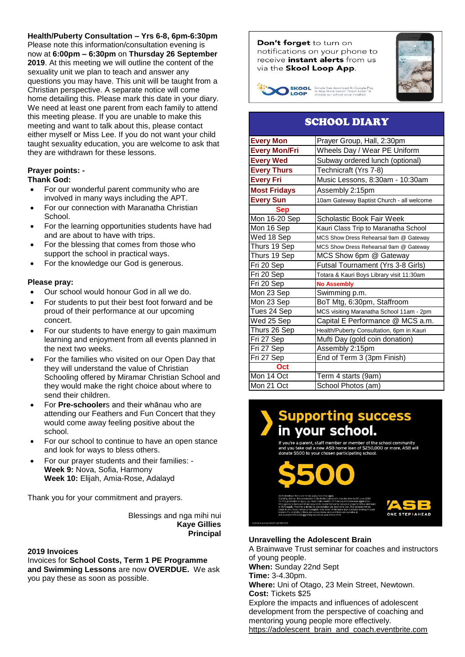**Health/Puberty Consultation – Yrs 6-8, 6pm-6:30pm** Please note this information/consultation evening is now at **6:00pm – 6:30pm** on **Thursday 26 September 2019**. At this meeting we will outline the content of the sexuality unit we plan to teach and answer any questions you may have. This unit will be taught from a Christian perspective. A separate notice will come home detailing this. Please mark this date in your diary. We need at least one parent from each family to attend this meeting please. If you are unable to make this meeting and want to talk about this, please contact either myself or Miss Lee. If you do not want your child taught sexuality education, you are welcome to ask that they are withdrawn for these lessons.

## **Prayer points: -**

## **Thank God:**

- For our wonderful parent community who are involved in many ways including the APT.
- For our connection with Maranatha Christian School.
- For the learning opportunities students have had and are about to have with trips.
- For the blessing that comes from those who support the school in practical ways.
- For the knowledge our God is generous.

## **Please pray:**

- Our school would honour God in all we do.
- For students to put their best foot forward and be proud of their performance at our upcoming concert.
- For our students to have energy to gain maximum learning and enjoyment from all events planned in the next two weeks.
- For the families who visited on our Open Day that they will understand the value of Christian Schooling offered by Miramar Christian School and they would make the right choice about where to send their children.
- For **Pre-schooler**s and their whānau who are attending our Feathers and Fun Concert that they would come away feeling positive about the school.
- For our school to continue to have an open stance and look for ways to bless others.
- For our prayer students and their families: **Week 9:** Nova, Sofia, Harmony **Week 10:** Elijah, Amia-Rose, Adalayd

Thank you for your commitment and prayers.

Blessings and nga mihi nui **Kaye Gillies Principal**

## **2019 Invoices**

Invoices for **School Costs, Term 1 PE Programme and Swimming Lessons** are now **OVERDUE.** We ask you pay these as soon as possible.

Don't forget to turn on notifications on your phone to receive *instant alerts* from us via the Skool Loop App.





## SCHOOL DIARY

| <b>Every Mon</b>     | Prayer Group, Hall, 2:30pm                |
|----------------------|-------------------------------------------|
| <b>Every Mon/Fri</b> | Wheels Day / Wear PE Uniform              |
| <b>Every Wed</b>     | Subway ordered lunch (optional)           |
| <b>Every Thurs</b>   | Technicraft (Yrs 7-8)                     |
| <b>Every Fri</b>     | Music Lessons, 8:30am - 10:30am           |
| <b>Most Fridays</b>  | Assembly 2:15pm                           |
| <b>Every Sun</b>     | 10am Gateway Baptist Church - all welcome |
| <b>Sep</b>           |                                           |
| Mon 16-20 Sep        | Scholastic Book Fair Week                 |
| Mon 16 Sep           | Kauri Class Trip to Maranatha School      |
| Wed 18 Sep           | MCS Show Dress Rehearsal 9am @ Gateway    |
| Thurs 19 Sep         | MCS Show Dress Rehearsal 9am @ Gateway    |
| Thurs 19 Sep         | MCS Show 6pm @ Gateway                    |
| Fri 20 Sep           | Futsal Tournament (Yrs 3-8 Girls)         |
| Fri 20 Sep           | Totara & Kauri Boys Library visit 11:30am |
| Fri 20 Sep           | <b>No Assembly</b>                        |
| Mon 23 Sep           | Swimming p.m.                             |
| Mon 23 Sep           | BoT Mtg, 6:30pm, Staffroom                |
| Tues 24 Sep          | MCS visiting Maranatha School 11am - 2pm  |
| Wed 25 Sep           | Capital E Performance @ MCS a.m.          |
| Thurs 26 Sep         | Health/Puberty Consultation, 6pm in Kauri |
| Fri 27 Sep           | Mufti Day (gold coin donation)            |
| Fri 27 Sep           | Assembly 2:15pm                           |
| Fri 27 Sep           | End of Term 3 (3pm Finish)                |
| Oct                  |                                           |
| Mon 14 Oct           | Term 4 starts (9am)                       |
| Mon 21 Oct           | School Photos (am)                        |



er of the school community e loan of \$250,000 or more. ASB will w ASB ho rticinating school.



## **Unravelling the Adolescent Brain**

A Brainwave Trust seminar for coaches and instructors of young people. **When:** Sunday 22nd Sept **Time:** 3-4.30pm. **Where:** Uni of Otago, 23 Mein Street, Newtown. **Cost:** Tickets \$25 Explore the impacts and influences of adolescent development from the perspective of coaching and mentoring young people more effectively. [https://adolescent\\_brain\\_and\\_coach.eventbrite.com](https://adolescent_brain_and_coach.eventbrite.com/)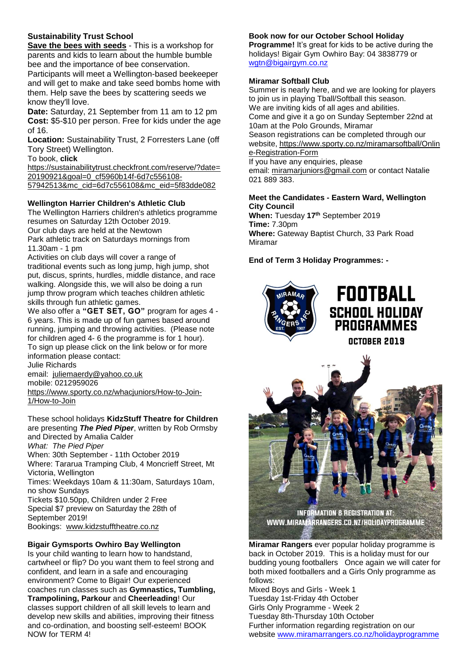## **Sustainability Trust School**

**[Save the bees with seeds](https://sustaintrust.us16.list-manage.com/track/click?u=e3ea40b79a9c26edd1e13c2bc&id=c3f50ce77b&e=5f83dde082)** - This is a workshop for parents and kids to learn about the humble bumble bee and the importance of bee conservation. Participants will meet a Wellington-based beekeeper and will get to make and take seed bombs home with them. Help save the bees by scattering seeds we know they'll love.

**Date:** Saturday, 21 September from 11 am to 12 pm **Cost:** \$5-\$10 per person. Free for kids under the age of 16.

**Location:** Sustainability Trust, 2 Forresters Lane (off Tory Street) Wellington.

To book, **click**

[https://sustainabilitytrust.checkfront.com/reserve/?date=](https://sustainabilitytrust.checkfront.com/reserve/?date=20190921&goal=0_cf5960b14f-6d7c556108-57942513&mc_cid=6d7c556108&mc_eid=5f83dde082) [20190921&goal=0\\_cf5960b14f-6d7c556108-](https://sustainabilitytrust.checkfront.com/reserve/?date=20190921&goal=0_cf5960b14f-6d7c556108-57942513&mc_cid=6d7c556108&mc_eid=5f83dde082)

[57942513&mc\\_cid=6d7c556108&mc\\_eid=5f83dde082](https://sustainabilitytrust.checkfront.com/reserve/?date=20190921&goal=0_cf5960b14f-6d7c556108-57942513&mc_cid=6d7c556108&mc_eid=5f83dde082)

## **Wellington Harrier Children's Athletic Club**

The Wellington Harriers children's athletics programme resumes on Saturday 12th October 2019. Our club days are held at the Newtown

Park athletic track on Saturdays mornings from 11.30am - 1 pm

Activities on club days will cover a range of traditional events such as long jump, high jump, shot put, discus, sprints, hurdles, middle distance, and race walking. Alongside this, we will also be doing a run jump throw program which teaches children athletic skills through fun athletic games.

We also offer a **"GET SET, GO"** program for ages 4 - 6 years. This is made up of fun games based around running, jumping and throwing activities. (Please note for children aged 4- 6 the programme is for 1 hour). To sign up please click on the link below or for more information please contact:

Julie Richards email: [juliemaerdy@yahoo.co.uk](mailto:juliemaerdy@yahoo.co.uk)

mobile: 0212959026

[https://www.sporty.co.nz/whacjuniors/How-to-Join-](https://www.sporty.co.nz/whacjuniors/How-to-Join-1/How-to-Join)[1/How-to-Join](https://www.sporty.co.nz/whacjuniors/How-to-Join-1/How-to-Join)

These school holidays **KidzStuff Theatre for Children** are presenting *The Pied Piper*, written by Rob Ormsby and Directed by Amalia Calder *What: The Pied Piper* When: 30th September - 11th October 2019

Where: Tararua Tramping Club, 4 Moncrieff Street, Mt Victoria, Wellington Times: Weekdays 10am & 11:30am, Saturdays 10am, no show Sundays

Tickets \$10.50pp, Children under 2 Free Special \$7 preview on Saturday the 28th of September 2019! Bookings: [www.kidzstufftheatre.co.nz](http://www.kidzstufftheatre.co.nz/)

## **Bigair Gymsports Owhiro Bay Wellington**

Is your child wanting to learn how to handstand, cartwheel or flip? Do you want them to feel strong and confident, and learn in a safe and encouraging environment? Come to Bigair! Our experienced coaches run classes such as **Gymnastics, Tumbling, Trampolining, Parkour** and **Cheerleading**! Our classes support children of all skill levels to learn and develop new skills and abilities, improving their fitness and co-ordination, and boosting self-esteem! BOOK NOW for TERM 4!

## **Book now for our October School Holiday**

**Programme!** It's great for kids to be active during the holidays! Bigair Gym Owhiro Bay: 04 3838779 or [wgtn@bigairgym.co.nz](mailto:wgtn@bigairgym.co.nz)

#### **Miramar Softball Club**

Summer is nearly here, and we are looking for players to join us in playing Tball/Softball this season. We are inviting kids of all ages and abilities. Come and give it a go on Sunday September 22nd at 10am at the Polo Grounds, Miramar Season registrations can be completed through our website, [https://www.sporty.co.nz/miramarsoftball/Onlin](https://www.sporty.co.nz/miramarsoftball/Online-Registration-Form) [e-Registration-Form](https://www.sporty.co.nz/miramarsoftball/Online-Registration-Form) If you have any enquiries, please email: [miramarjuniors@gmail.com](mailto:miramarjuniors@gmail.com) or contact Natalie 021 889 383.

#### **Meet the Candidates - Eastern Ward, Wellington City Council**

**When:** Tuesday **17th** September 2019 **Time:** 7.30pm **Where:** Gateway Baptist Church, 33 Park Road Miramar

## **End of Term 3 Holiday Programmes: -**



# **FOOTBALL SCHOOL HOLIDAY PROGRAMMES** OCTOBER 2019



**INFORMATION & REGISTRATION AT:** WWW.MIRAMARRANGERS.CO.NZ/HOLIDAYPROGRAMME

**Miramar Rangers** ever popular holiday programme is back in October 2019. This is a holiday must for our budding young footballers Once again we will cater for both mixed footballers and a Girls Only programme as follows:

Mixed Boys and Girls - Week 1 Tuesday 1st-Friday 4th October Girls Only Programme - Week 2 Tuesday 8th-Thursday 10th October Further information regarding registration on our website [www.miramarrangers.co.nz/holidayprogramme](http://www.miramarrangers.co.nz/holidayprogramme)